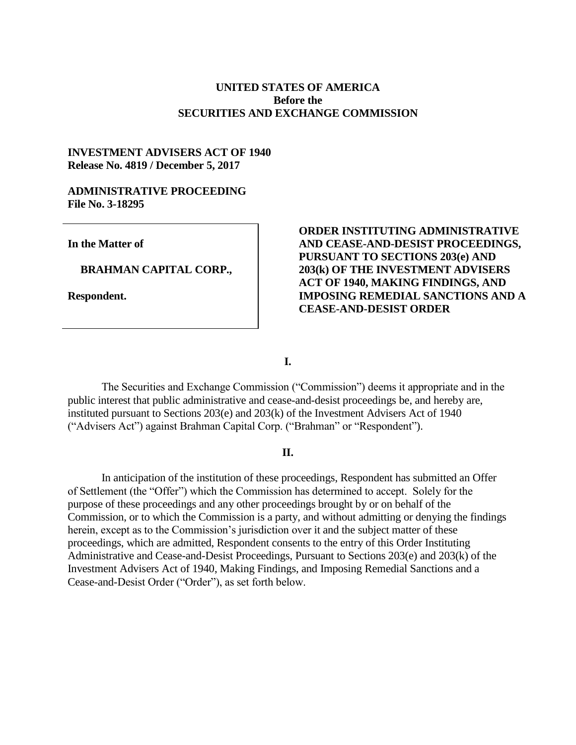## **UNITED STATES OF AMERICA Before the SECURITIES AND EXCHANGE COMMISSION**

## **INVESTMENT ADVISERS ACT OF 1940 Release No. 4819 / December 5, 2017**

### **ADMINISTRATIVE PROCEEDING File No. 3-18295**

**In the Matter of**

**BRAHMAN CAPITAL CORP.,**

**Respondent.**

## **ORDER INSTITUTING ADMINISTRATIVE AND CEASE-AND-DESIST PROCEEDINGS, PURSUANT TO SECTIONS 203(e) AND 203(k) OF THE INVESTMENT ADVISERS ACT OF 1940, MAKING FINDINGS, AND IMPOSING REMEDIAL SANCTIONS AND A CEASE-AND-DESIST ORDER**

**I.**

The Securities and Exchange Commission ("Commission") deems it appropriate and in the public interest that public administrative and cease-and-desist proceedings be, and hereby are, instituted pursuant to Sections 203(e) and 203(k) of the Investment Advisers Act of 1940 ("Advisers Act") against Brahman Capital Corp. ("Brahman" or "Respondent").

### **II.**

In anticipation of the institution of these proceedings, Respondent has submitted an Offer of Settlement (the "Offer") which the Commission has determined to accept. Solely for the purpose of these proceedings and any other proceedings brought by or on behalf of the Commission, or to which the Commission is a party, and without admitting or denying the findings herein, except as to the Commission's jurisdiction over it and the subject matter of these proceedings, which are admitted, Respondent consents to the entry of this Order Instituting Administrative and Cease-and-Desist Proceedings, Pursuant to Sections 203(e) and 203(k) of the Investment Advisers Act of 1940, Making Findings, and Imposing Remedial Sanctions and a Cease-and-Desist Order ("Order"), as set forth below.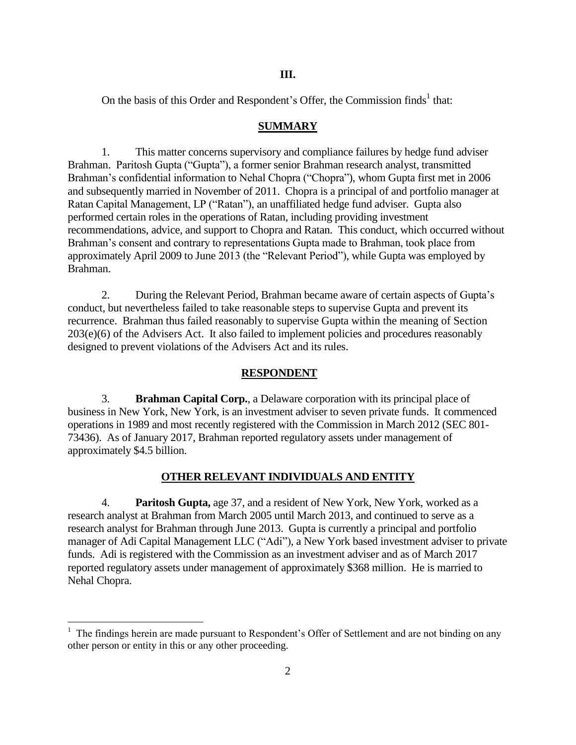#### **III.**

On the basis of this Order and Respondent's Offer, the Commission finds<sup>1</sup> that:

## **SUMMARY**

1. This matter concerns supervisory and compliance failures by hedge fund adviser Brahman. Paritosh Gupta ("Gupta"), a former senior Brahman research analyst, transmitted Brahman's confidential information to Nehal Chopra ("Chopra"), whom Gupta first met in 2006 and subsequently married in November of 2011. Chopra is a principal of and portfolio manager at Ratan Capital Management, LP ("Ratan"), an unaffiliated hedge fund adviser. Gupta also performed certain roles in the operations of Ratan, including providing investment recommendations, advice, and support to Chopra and Ratan. This conduct, which occurred without Brahman's consent and contrary to representations Gupta made to Brahman, took place from approximately April 2009 to June 2013 (the "Relevant Period"), while Gupta was employed by Brahman.

2. During the Relevant Period, Brahman became aware of certain aspects of Gupta's conduct, but nevertheless failed to take reasonable steps to supervise Gupta and prevent its recurrence. Brahman thus failed reasonably to supervise Gupta within the meaning of Section 203(e)(6) of the Advisers Act. It also failed to implement policies and procedures reasonably designed to prevent violations of the Advisers Act and its rules.

### **RESPONDENT**

3. **Brahman Capital Corp.**, a Delaware corporation with its principal place of business in New York, New York, is an investment adviser to seven private funds. It commenced operations in 1989 and most recently registered with the Commission in March 2012 (SEC 801- 73436). As of January 2017, Brahman reported regulatory assets under management of approximately \$4.5 billion.

## **OTHER RELEVANT INDIVIDUALS AND ENTITY**

4. **Paritosh Gupta,** age 37, and a resident of New York, New York, worked as a research analyst at Brahman from March 2005 until March 2013, and continued to serve as a research analyst for Brahman through June 2013. Gupta is currently a principal and portfolio manager of Adi Capital Management LLC ("Adi"), a New York based investment adviser to private funds. Adi is registered with the Commission as an investment adviser and as of March 2017 reported regulatory assets under management of approximately \$368 million. He is married to Nehal Chopra.

 $\overline{a}$ 

 $1$  The findings herein are made pursuant to Respondent's Offer of Settlement and are not binding on any other person or entity in this or any other proceeding.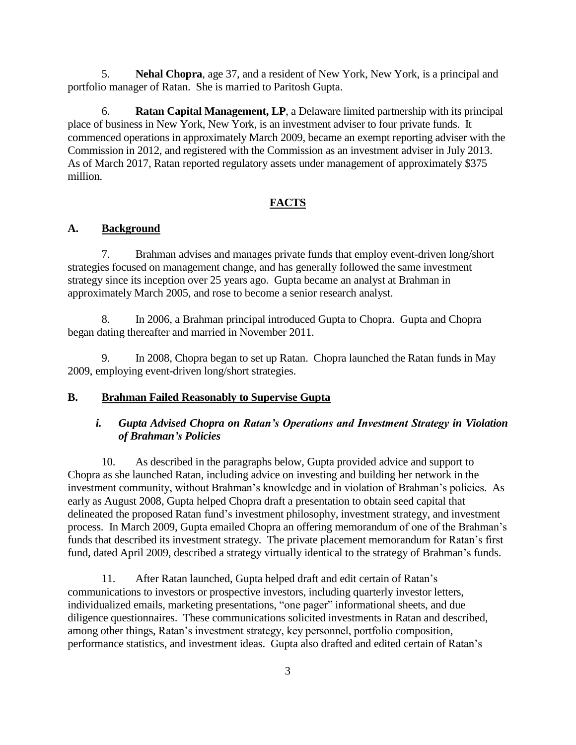5. **Nehal Chopra**, age 37, and a resident of New York, New York, is a principal and portfolio manager of Ratan. She is married to Paritosh Gupta.

6. **Ratan Capital Management, LP**, a Delaware limited partnership with its principal place of business in New York, New York, is an investment adviser to four private funds. It commenced operations in approximately March 2009, became an exempt reporting adviser with the Commission in 2012, and registered with the Commission as an investment adviser in July 2013. As of March 2017, Ratan reported regulatory assets under management of approximately \$375 million.

# **FACTS**

### **A. Background**

7. Brahman advises and manages private funds that employ event-driven long/short strategies focused on management change, and has generally followed the same investment strategy since its inception over 25 years ago. Gupta became an analyst at Brahman in approximately March 2005, and rose to become a senior research analyst.

8. In 2006, a Brahman principal introduced Gupta to Chopra. Gupta and Chopra began dating thereafter and married in November 2011.

9. In 2008, Chopra began to set up Ratan. Chopra launched the Ratan funds in May 2009, employing event-driven long/short strategies.

#### **B. Brahman Failed Reasonably to Supervise Gupta**

## *i. Gupta Advised Chopra on Ratan's Operations and Investment Strategy in Violation of Brahman's Policies*

10. As described in the paragraphs below, Gupta provided advice and support to Chopra as she launched Ratan, including advice on investing and building her network in the investment community, without Brahman's knowledge and in violation of Brahman's policies. As early as August 2008, Gupta helped Chopra draft a presentation to obtain seed capital that delineated the proposed Ratan fund's investment philosophy, investment strategy, and investment process. In March 2009, Gupta emailed Chopra an offering memorandum of one of the Brahman's funds that described its investment strategy. The private placement memorandum for Ratan's first fund, dated April 2009, described a strategy virtually identical to the strategy of Brahman's funds.

11. After Ratan launched, Gupta helped draft and edit certain of Ratan's communications to investors or prospective investors, including quarterly investor letters, individualized emails, marketing presentations, "one pager" informational sheets, and due diligence questionnaires. These communications solicited investments in Ratan and described, among other things, Ratan's investment strategy, key personnel, portfolio composition, performance statistics, and investment ideas. Gupta also drafted and edited certain of Ratan's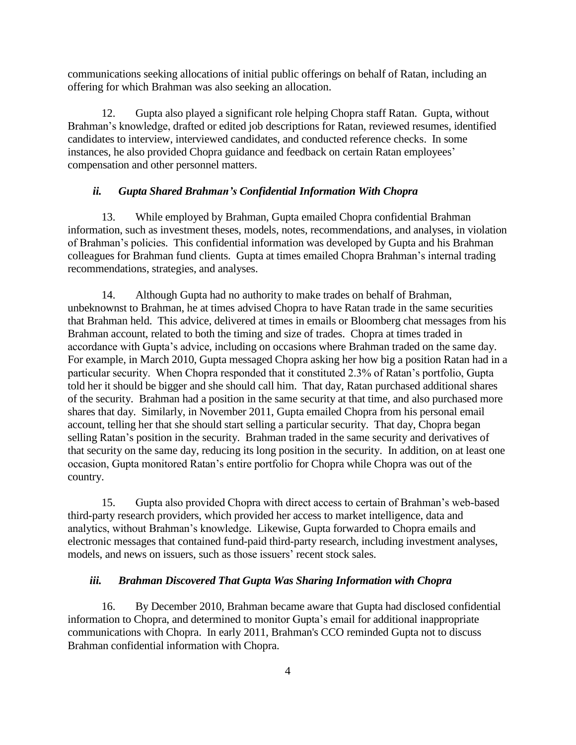communications seeking allocations of initial public offerings on behalf of Ratan, including an offering for which Brahman was also seeking an allocation.

12. Gupta also played a significant role helping Chopra staff Ratan. Gupta, without Brahman's knowledge, drafted or edited job descriptions for Ratan, reviewed resumes, identified candidates to interview, interviewed candidates, and conducted reference checks. In some instances, he also provided Chopra guidance and feedback on certain Ratan employees' compensation and other personnel matters.

### *ii. Gupta Shared Brahman's Confidential Information With Chopra*

13. While employed by Brahman, Gupta emailed Chopra confidential Brahman information, such as investment theses, models, notes, recommendations, and analyses, in violation of Brahman's policies. This confidential information was developed by Gupta and his Brahman colleagues for Brahman fund clients. Gupta at times emailed Chopra Brahman's internal trading recommendations, strategies, and analyses.

14. Although Gupta had no authority to make trades on behalf of Brahman, unbeknownst to Brahman, he at times advised Chopra to have Ratan trade in the same securities that Brahman held. This advice, delivered at times in emails or Bloomberg chat messages from his Brahman account, related to both the timing and size of trades. Chopra at times traded in accordance with Gupta's advice, including on occasions where Brahman traded on the same day. For example, in March 2010, Gupta messaged Chopra asking her how big a position Ratan had in a particular security. When Chopra responded that it constituted 2.3% of Ratan's portfolio, Gupta told her it should be bigger and she should call him. That day, Ratan purchased additional shares of the security. Brahman had a position in the same security at that time, and also purchased more shares that day. Similarly, in November 2011, Gupta emailed Chopra from his personal email account, telling her that she should start selling a particular security. That day, Chopra began selling Ratan's position in the security. Brahman traded in the same security and derivatives of that security on the same day, reducing its long position in the security. In addition, on at least one occasion, Gupta monitored Ratan's entire portfolio for Chopra while Chopra was out of the country.

15. Gupta also provided Chopra with direct access to certain of Brahman's web-based third-party research providers, which provided her access to market intelligence, data and analytics, without Brahman's knowledge. Likewise, Gupta forwarded to Chopra emails and electronic messages that contained fund-paid third-party research, including investment analyses, models, and news on issuers, such as those issuers' recent stock sales.

#### *iii. Brahman Discovered That Gupta Was Sharing Information with Chopra*

16. By December 2010, Brahman became aware that Gupta had disclosed confidential information to Chopra, and determined to monitor Gupta's email for additional inappropriate communications with Chopra. In early 2011, Brahman's CCO reminded Gupta not to discuss Brahman confidential information with Chopra.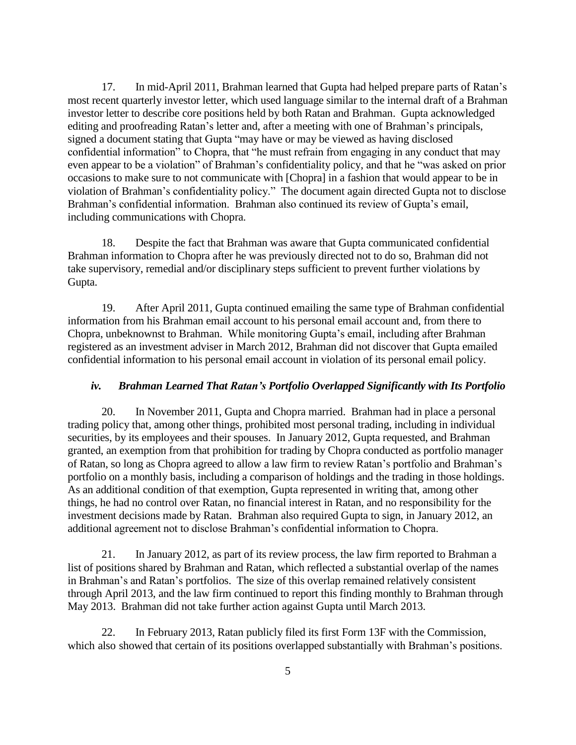17. In mid-April 2011, Brahman learned that Gupta had helped prepare parts of Ratan's most recent quarterly investor letter, which used language similar to the internal draft of a Brahman investor letter to describe core positions held by both Ratan and Brahman. Gupta acknowledged editing and proofreading Ratan's letter and, after a meeting with one of Brahman's principals, signed a document stating that Gupta "may have or may be viewed as having disclosed confidential information" to Chopra, that "he must refrain from engaging in any conduct that may even appear to be a violation" of Brahman's confidentiality policy, and that he "was asked on prior occasions to make sure to not communicate with [Chopra] in a fashion that would appear to be in violation of Brahman's confidentiality policy." The document again directed Gupta not to disclose Brahman's confidential information. Brahman also continued its review of Gupta's email, including communications with Chopra.

18. Despite the fact that Brahman was aware that Gupta communicated confidential Brahman information to Chopra after he was previously directed not to do so, Brahman did not take supervisory, remedial and/or disciplinary steps sufficient to prevent further violations by Gupta.

19. After April 2011, Gupta continued emailing the same type of Brahman confidential information from his Brahman email account to his personal email account and, from there to Chopra, unbeknownst to Brahman. While monitoring Gupta's email, including after Brahman registered as an investment adviser in March 2012, Brahman did not discover that Gupta emailed confidential information to his personal email account in violation of its personal email policy.

#### *iv. Brahman Learned That Ratan's Portfolio Overlapped Significantly with Its Portfolio*

20. In November 2011, Gupta and Chopra married. Brahman had in place a personal trading policy that, among other things, prohibited most personal trading, including in individual securities, by its employees and their spouses. In January 2012, Gupta requested, and Brahman granted, an exemption from that prohibition for trading by Chopra conducted as portfolio manager of Ratan, so long as Chopra agreed to allow a law firm to review Ratan's portfolio and Brahman's portfolio on a monthly basis, including a comparison of holdings and the trading in those holdings. As an additional condition of that exemption, Gupta represented in writing that, among other things, he had no control over Ratan, no financial interest in Ratan, and no responsibility for the investment decisions made by Ratan. Brahman also required Gupta to sign, in January 2012, an additional agreement not to disclose Brahman's confidential information to Chopra.

21. In January 2012, as part of its review process, the law firm reported to Brahman a list of positions shared by Brahman and Ratan, which reflected a substantial overlap of the names in Brahman's and Ratan's portfolios. The size of this overlap remained relatively consistent through April 2013, and the law firm continued to report this finding monthly to Brahman through May 2013. Brahman did not take further action against Gupta until March 2013.

22. In February 2013, Ratan publicly filed its first Form 13F with the Commission, which also showed that certain of its positions overlapped substantially with Brahman's positions.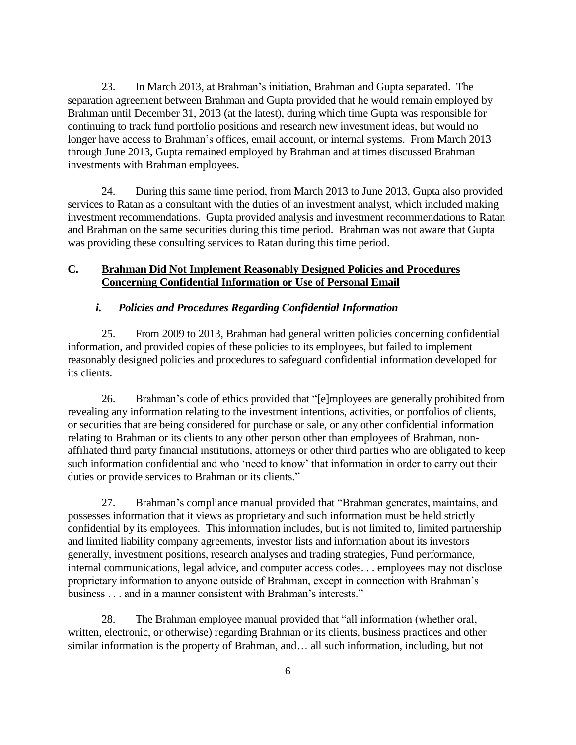23. In March 2013, at Brahman's initiation, Brahman and Gupta separated. The separation agreement between Brahman and Gupta provided that he would remain employed by Brahman until December 31, 2013 (at the latest), during which time Gupta was responsible for continuing to track fund portfolio positions and research new investment ideas, but would no longer have access to Brahman's offices, email account, or internal systems. From March 2013 through June 2013, Gupta remained employed by Brahman and at times discussed Brahman investments with Brahman employees.

24. During this same time period, from March 2013 to June 2013, Gupta also provided services to Ratan as a consultant with the duties of an investment analyst, which included making investment recommendations. Gupta provided analysis and investment recommendations to Ratan and Brahman on the same securities during this time period. Brahman was not aware that Gupta was providing these consulting services to Ratan during this time period.

## **C. Brahman Did Not Implement Reasonably Designed Policies and Procedures Concerning Confidential Information or Use of Personal Email**

# *i. Policies and Procedures Regarding Confidential Information*

25. From 2009 to 2013, Brahman had general written policies concerning confidential information, and provided copies of these policies to its employees, but failed to implement reasonably designed policies and procedures to safeguard confidential information developed for its clients.

26. Brahman's code of ethics provided that "[e]mployees are generally prohibited from revealing any information relating to the investment intentions, activities, or portfolios of clients, or securities that are being considered for purchase or sale, or any other confidential information relating to Brahman or its clients to any other person other than employees of Brahman, nonaffiliated third party financial institutions, attorneys or other third parties who are obligated to keep such information confidential and who 'need to know' that information in order to carry out their duties or provide services to Brahman or its clients."

27. Brahman's compliance manual provided that "Brahman generates, maintains, and possesses information that it views as proprietary and such information must be held strictly confidential by its employees. This information includes, but is not limited to, limited partnership and limited liability company agreements, investor lists and information about its investors generally, investment positions, research analyses and trading strategies, Fund performance, internal communications, legal advice, and computer access codes. . . employees may not disclose proprietary information to anyone outside of Brahman, except in connection with Brahman's business . . . and in a manner consistent with Brahman's interests."

28. The Brahman employee manual provided that "all information (whether oral, written, electronic, or otherwise) regarding Brahman or its clients, business practices and other similar information is the property of Brahman, and… all such information, including, but not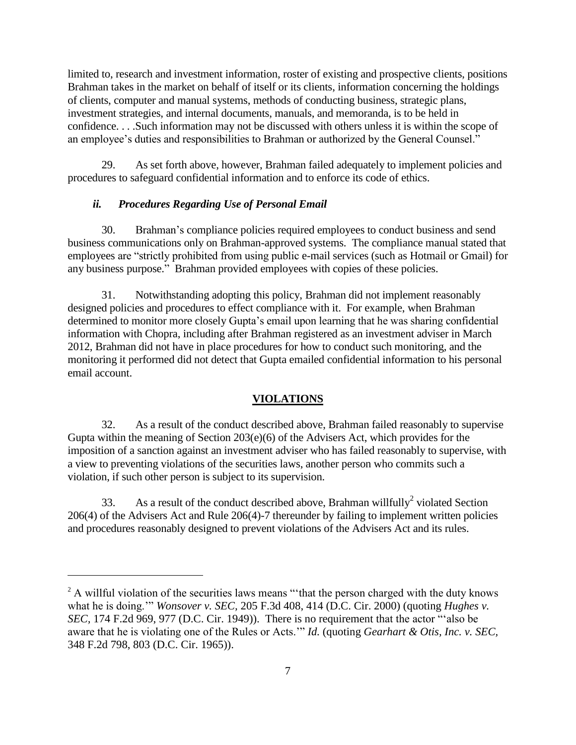limited to, research and investment information, roster of existing and prospective clients, positions Brahman takes in the market on behalf of itself or its clients, information concerning the holdings of clients, computer and manual systems, methods of conducting business, strategic plans, investment strategies, and internal documents, manuals, and memoranda, is to be held in confidence. . . .Such information may not be discussed with others unless it is within the scope of an employee's duties and responsibilities to Brahman or authorized by the General Counsel."

29. As set forth above, however, Brahman failed adequately to implement policies and procedures to safeguard confidential information and to enforce its code of ethics.

## *ii. Procedures Regarding Use of Personal Email*

 $\overline{a}$ 

30. Brahman's compliance policies required employees to conduct business and send business communications only on Brahman-approved systems. The compliance manual stated that employees are "strictly prohibited from using public e-mail services (such as Hotmail or Gmail) for any business purpose." Brahman provided employees with copies of these policies.

31. Notwithstanding adopting this policy, Brahman did not implement reasonably designed policies and procedures to effect compliance with it. For example, when Brahman determined to monitor more closely Gupta's email upon learning that he was sharing confidential information with Chopra, including after Brahman registered as an investment adviser in March 2012, Brahman did not have in place procedures for how to conduct such monitoring, and the monitoring it performed did not detect that Gupta emailed confidential information to his personal email account.

#### **VIOLATIONS**

32. As a result of the conduct described above, Brahman failed reasonably to supervise Gupta within the meaning of Section 203(e)(6) of the Advisers Act, which provides for the imposition of a sanction against an investment adviser who has failed reasonably to supervise, with a view to preventing violations of the securities laws, another person who commits such a violation, if such other person is subject to its supervision.

33. As a result of the conduct described above, Brahman willfully<sup>2</sup> violated Section 206(4) of the Advisers Act and Rule 206(4)-7 thereunder by failing to implement written policies and procedures reasonably designed to prevent violations of the Advisers Act and its rules.

<sup>&</sup>lt;sup>2</sup> A willful violation of the securities laws means "that the person charged with the duty knows what he is doing.'" *Wonsover v. SEC,* 205 F.3d 408, 414 (D.C. Cir. 2000) (quoting *Hughes v. SEC,* 174 F.2d 969, 977 (D.C. Cir. 1949)). There is no requirement that the actor "'also be aware that he is violating one of the Rules or Acts.'" *Id.* (quoting *Gearhart & Otis, Inc. v. SEC,*  348 F.2d 798, 803 (D.C. Cir. 1965)).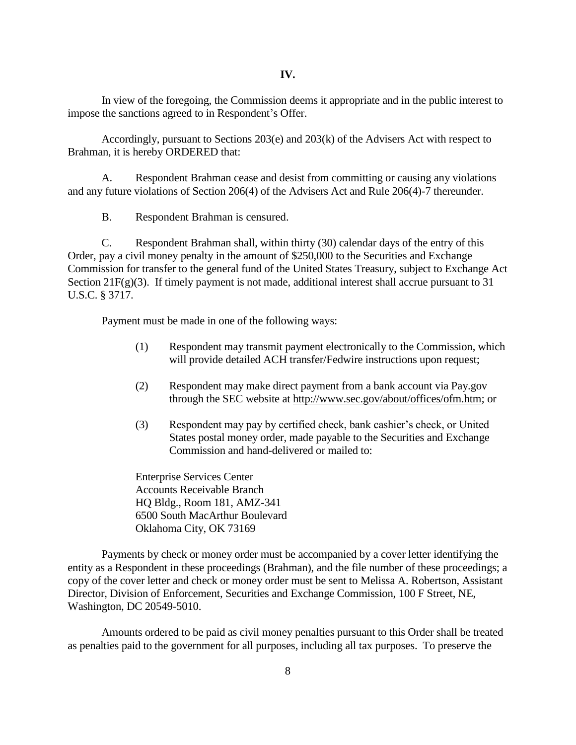In view of the foregoing, the Commission deems it appropriate and in the public interest to impose the sanctions agreed to in Respondent's Offer.

Accordingly, pursuant to Sections 203(e) and 203(k) of the Advisers Act with respect to Brahman, it is hereby ORDERED that:

A. Respondent Brahman cease and desist from committing or causing any violations and any future violations of Section 206(4) of the Advisers Act and Rule 206(4)-7 thereunder.

B. Respondent Brahman is censured.

C. Respondent Brahman shall, within thirty (30) calendar days of the entry of this Order, pay a civil money penalty in the amount of \$250,000 to the Securities and Exchange Commission for transfer to the general fund of the United States Treasury, subject to Exchange Act Section 21 $F(g)(3)$ . If timely payment is not made, additional interest shall accrue pursuant to 31 U.S.C. § 3717.

Payment must be made in one of the following ways:

- (1) Respondent may transmit payment electronically to the Commission, which will provide detailed ACH transfer/Fedwire instructions upon request;
- (2) Respondent may make direct payment from a bank account via Pay.gov through the SEC website at [http://www.sec.gov/about/offices/ofm.htm;](http://www.sec.gov/about/offices/ofm.htm) or
- (3) Respondent may pay by certified check, bank cashier's check, or United States postal money order, made payable to the Securities and Exchange Commission and hand-delivered or mailed to:

Enterprise Services Center Accounts Receivable Branch HQ Bldg., Room 181, AMZ-341 6500 South MacArthur Boulevard Oklahoma City, OK 73169

Payments by check or money order must be accompanied by a cover letter identifying the entity as a Respondent in these proceedings (Brahman), and the file number of these proceedings; a copy of the cover letter and check or money order must be sent to Melissa A. Robertson, Assistant Director, Division of Enforcement, Securities and Exchange Commission, 100 F Street, NE, Washington, DC 20549-5010.

Amounts ordered to be paid as civil money penalties pursuant to this Order shall be treated as penalties paid to the government for all purposes, including all tax purposes. To preserve the